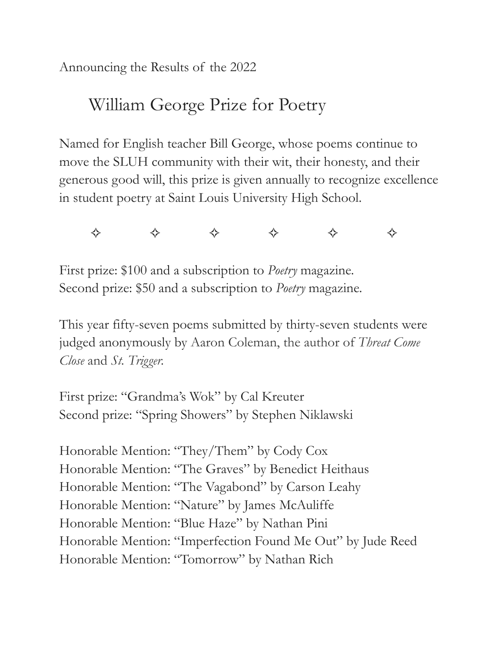Announcing the Results of the 2022

# William George Prize for Poetry

Named for English teacher Bill George, whose poems continue to move the SLUH community with their wit, their honesty, and their generous good will, this prize is given annually to recognize excellence in student poetry at Saint Louis University High School.

✧ ✧ ✧ ✧ ✧ ✧

First prize: \$100 and a subscription to *Poetry* magazine. Second prize: \$50 and a subscription to *Poetry* magazine.

This year fifty-seven poems submitted by thirty-seven students were judged anonymously by Aaron Coleman, the author of *Threat Come Close* and *St. Trigger.*

First prize: "Grandma's Wok" by Cal Kreuter Second prize: "Spring Showers" by Stephen Niklawski

Honorable Mention: "They/Them" by Cody Cox Honorable Mention: "The Graves" by Benedict Heithaus Honorable Mention: "The Vagabond" by Carson Leahy Honorable Mention: "Nature" by James McAuliffe Honorable Mention: "Blue Haze" by Nathan Pini Honorable Mention: "Imperfection Found Me Out" by Jude Reed Honorable Mention: "Tomorrow" by Nathan Rich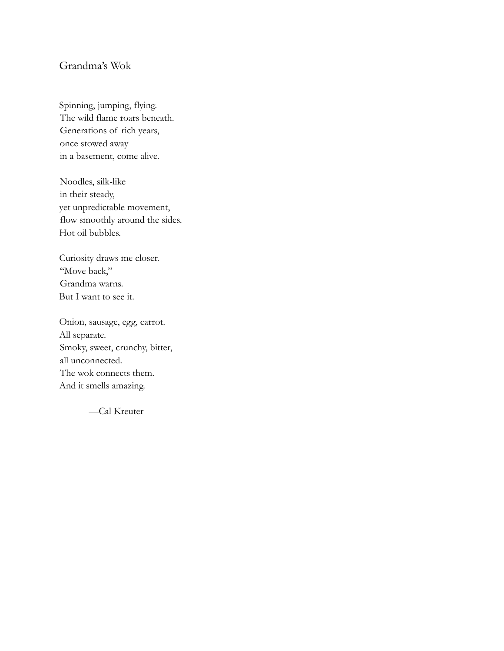## Grandma's Wok

Spinning, jumping, flying. The wild flame roars beneath. Generations of rich years, once stowed away in a basement, come alive.

Noodles, silk-like in their steady, yet unpredictable movement, flow smoothly around the sides. Hot oil bubbles.

Curiosity draws me closer. "Move back," Grandma warns. But I want to see it.

Onion, sausage, egg, carrot. All separate. Smoky, sweet, crunchy, bitter, all unconnected. The wok connects them. And it smells amazing.

—Cal Kreuter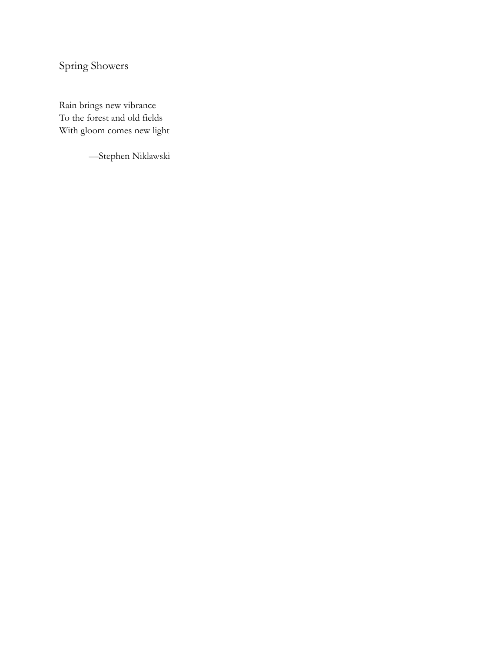Spring Showers

Rain brings new vibrance To the forest and old fields With gloom comes new light

—Stephen Niklawski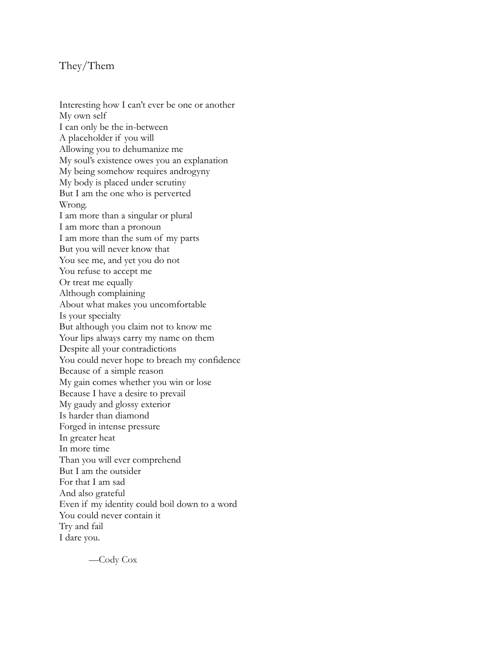#### They/Them

Interesting how I can't ever be one or another My own self I can only be the in-between A placeholder if you will Allowing you to dehumanize me My soul's existence owes you an explanation My being somehow requires androgyny My body is placed under scrutiny But I am the one who is perverted Wrong. I am more than a singular or plural I am more than a pronoun I am more than the sum of my parts But you will never know that You see me, and yet you do not You refuse to accept me Or treat me equally Although complaining About what makes you uncomfortable Is your specialty But although you claim not to know me Your lips always carry my name on them Despite all your contradictions You could never hope to breach my confidence Because of a simple reason My gain comes whether you win or lose Because I have a desire to prevail My gaudy and glossy exterior Is harder than diamond Forged in intense pressure In greater heat In more time Than you will ever comprehend But I am the outsider For that I am sad And also grateful Even if my identity could boil down to a word You could never contain it Try and fail I dare you.

—Cody Cox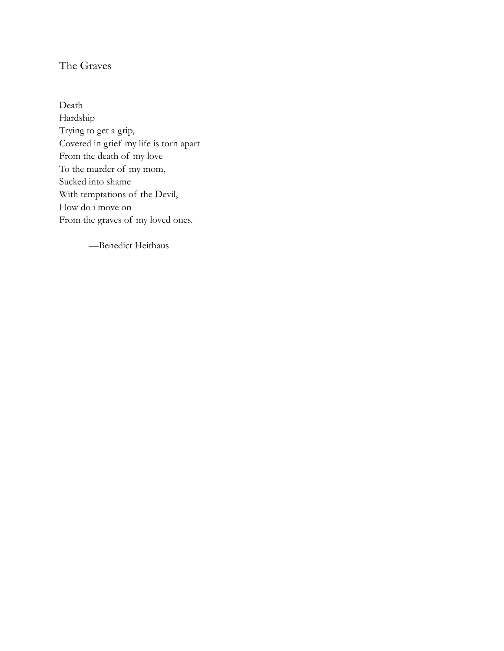# The Graves

Death Hardship Trying to get a grip, Covered in grief my life is torn apart From the death of my love To the murder of my mom, Sucked into shame With temptations of the Devil, How do i move on From the graves of my loved ones.

—Benedict Heithaus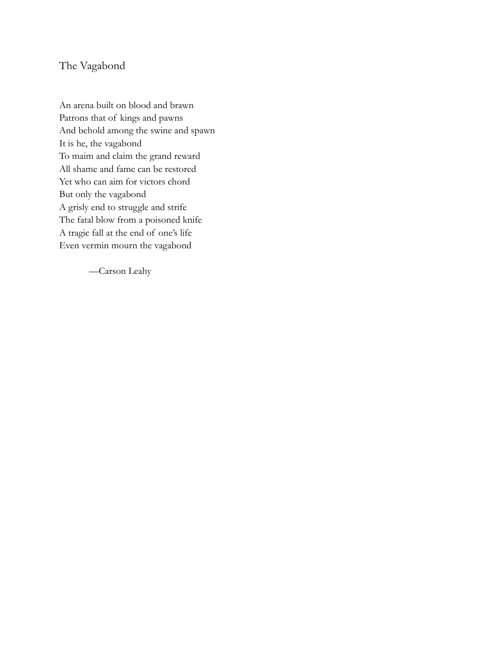### The Vagabond

An arena built on blood and brawn Patrons that of kings and pawns And behold among the swine and spawn It is he, the vagabond To maim and claim the grand reward All shame and fame can be restored Yet who can aim for victors chord But only the vagabond A grisly end to struggle and strife The fatal blow from a poisoned knife A tragic fall at the end of one's life Even vermin mourn the vagabond

—Carson Leahy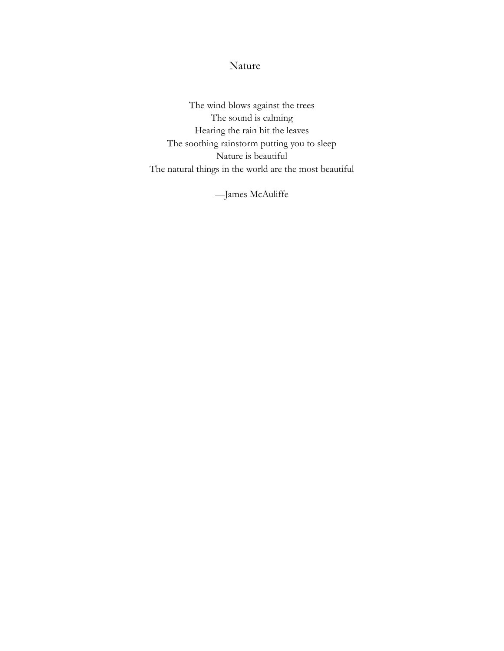Nature

The wind blows against the trees The sound is calming Hearing the rain hit the leaves The soothing rainstorm putting you to sleep Nature is beautiful The natural things in the world are the most beautiful

—James McAuliffe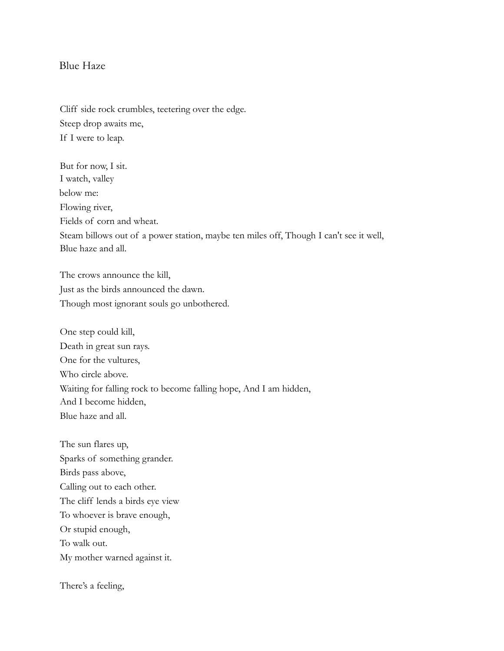#### Blue Haze

Cliff side rock crumbles, teetering over the edge. Steep drop awaits me, If I were to leap.

But for now, I sit. I watch, valley below me: Flowing river, Fields of corn and wheat. Steam billows out of a power station, maybe ten miles off, Though I can't see it well, Blue haze and all.

The crows announce the kill, Just as the birds announced the dawn. Though most ignorant souls go unbothered.

One step could kill, Death in great sun rays. One for the vultures, Who circle above. Waiting for falling rock to become falling hope, And I am hidden, And I become hidden, Blue haze and all.

The sun flares up, Sparks of something grander. Birds pass above, Calling out to each other. The cliff lends a birds eye view To whoever is brave enough, Or stupid enough, To walk out. My mother warned against it.

There's a feeling,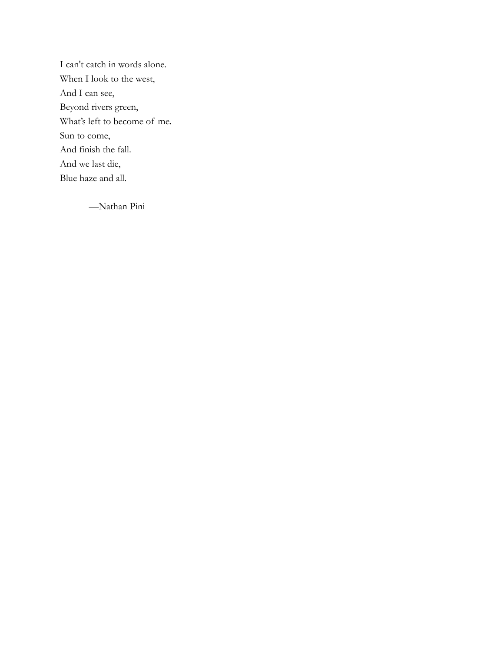I can't catch in words alone. When I look to the west, And I can see, Beyond rivers green, What's left to become of me. Sun to come, And finish the fall. And we last die, Blue haze and all.

—Nathan Pini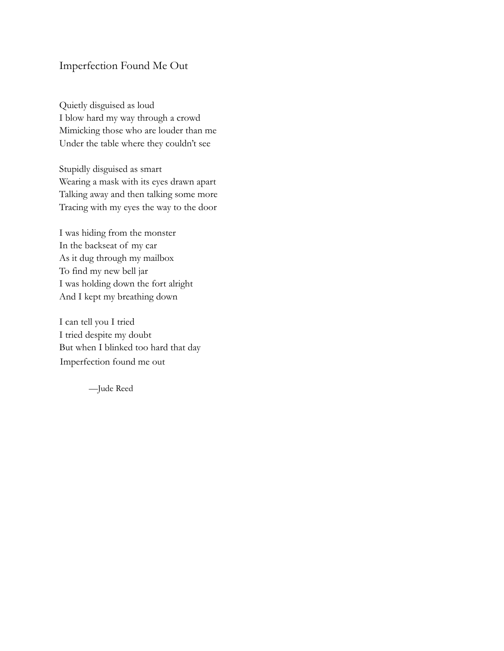## Imperfection Found Me Out

Quietly disguised as loud I blow hard my way through a crowd Mimicking those who are louder than me Under the table where they couldn't see

Stupidly disguised as smart Wearing a mask with its eyes drawn apart Talking away and then talking some more Tracing with my eyes the way to the door

I was hiding from the monster In the backseat of my car As it dug through my mailbox To find my new bell jar I was holding down the fort alright And I kept my breathing down

I can tell you I tried I tried despite my doubt But when I blinked too hard that day Imperfection found me out

—Jude Reed